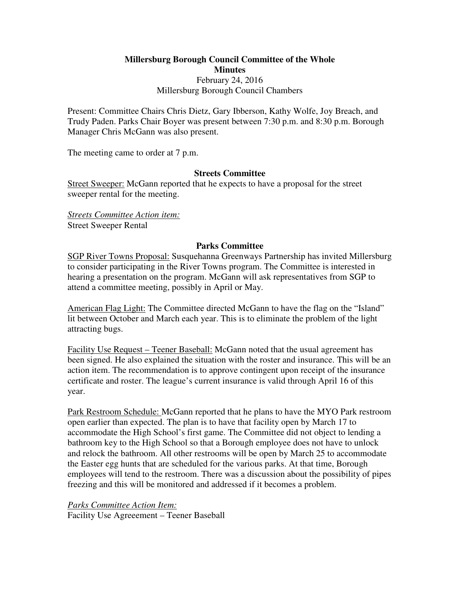**Millersburg Borough Council Committee of the Whole Minutes**  February 24, 2016 Millersburg Borough Council Chambers

Present: Committee Chairs Chris Dietz, Gary Ibberson, Kathy Wolfe, Joy Breach, and Trudy Paden. Parks Chair Boyer was present between 7:30 p.m. and 8:30 p.m. Borough Manager Chris McGann was also present.

The meeting came to order at 7 p.m.

### **Streets Committee**

Street Sweeper: McGann reported that he expects to have a proposal for the street sweeper rental for the meeting.

*Streets Committee Action item:* Street Sweeper Rental

## **Parks Committee**

SGP River Towns Proposal: Susquehanna Greenways Partnership has invited Millersburg to consider participating in the River Towns program. The Committee is interested in hearing a presentation on the program. McGann will ask representatives from SGP to attend a committee meeting, possibly in April or May.

American Flag Light: The Committee directed McGann to have the flag on the "Island" lit between October and March each year. This is to eliminate the problem of the light attracting bugs.

Facility Use Request – Teener Baseball: McGann noted that the usual agreement has been signed. He also explained the situation with the roster and insurance. This will be an action item. The recommendation is to approve contingent upon receipt of the insurance certificate and roster. The league's current insurance is valid through April 16 of this year.

Park Restroom Schedule: McGann reported that he plans to have the MYO Park restroom open earlier than expected. The plan is to have that facility open by March 17 to accommodate the High School's first game. The Committee did not object to lending a bathroom key to the High School so that a Borough employee does not have to unlock and relock the bathroom. All other restrooms will be open by March 25 to accommodate the Easter egg hunts that are scheduled for the various parks. At that time, Borough employees will tend to the restroom. There was a discussion about the possibility of pipes freezing and this will be monitored and addressed if it becomes a problem.

*Parks Committee Action Item:* Facility Use Agreeement – Teener Baseball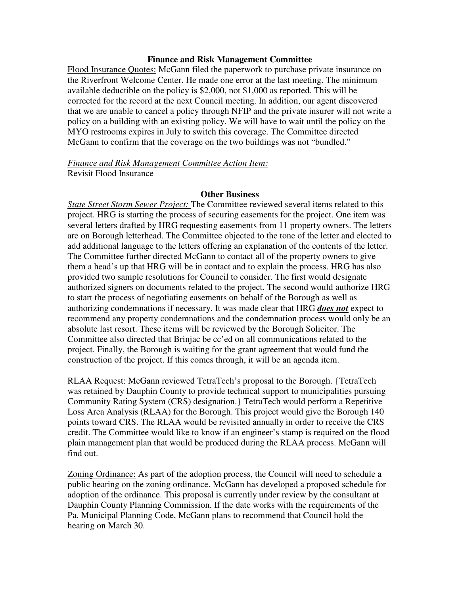#### **Finance and Risk Management Committee**

Flood Insurance Quotes: McGann filed the paperwork to purchase private insurance on the Riverfront Welcome Center. He made one error at the last meeting. The minimum available deductible on the policy is \$2,000, not \$1,000 as reported. This will be corrected for the record at the next Council meeting. In addition, our agent discovered that we are unable to cancel a policy through NFIP and the private insurer will not write a policy on a building with an existing policy. We will have to wait until the policy on the MYO restrooms expires in July to switch this coverage. The Committee directed McGann to confirm that the coverage on the two buildings was not "bundled."

*Finance and Risk Management Committee Action Item:* Revisit Flood Insurance

## **Other Business**

*State Street Storm Sewer Project:* The Committee reviewed several items related to this project. HRG is starting the process of securing easements for the project. One item was several letters drafted by HRG requesting easements from 11 property owners. The letters are on Borough letterhead. The Committee objected to the tone of the letter and elected to add additional language to the letters offering an explanation of the contents of the letter. The Committee further directed McGann to contact all of the property owners to give them a head's up that HRG will be in contact and to explain the process. HRG has also provided two sample resolutions for Council to consider. The first would designate authorized signers on documents related to the project. The second would authorize HRG to start the process of negotiating easements on behalf of the Borough as well as authorizing condemnations if necessary. It was made clear that HRG *does not* expect to recommend any property condemnations and the condemnation process would only be an absolute last resort. These items will be reviewed by the Borough Solicitor. The Committee also directed that Brinjac be cc'ed on all communications related to the project. Finally, the Borough is waiting for the grant agreement that would fund the construction of the project. If this comes through, it will be an agenda item.

RLAA Request: McGann reviewed TetraTech's proposal to the Borough. {TetraTech was retained by Dauphin County to provide technical support to municipalities pursuing Community Rating System (CRS) designation.} TetraTech would perform a Repetitive Loss Area Analysis (RLAA) for the Borough. This project would give the Borough 140 points toward CRS. The RLAA would be revisited annually in order to receive the CRS credit. The Committee would like to know if an engineer's stamp is required on the flood plain management plan that would be produced during the RLAA process. McGann will find out.

Zoning Ordinance: As part of the adoption process, the Council will need to schedule a public hearing on the zoning ordinance. McGann has developed a proposed schedule for adoption of the ordinance. This proposal is currently under review by the consultant at Dauphin County Planning Commission. If the date works with the requirements of the Pa. Municipal Planning Code, McGann plans to recommend that Council hold the hearing on March 30.